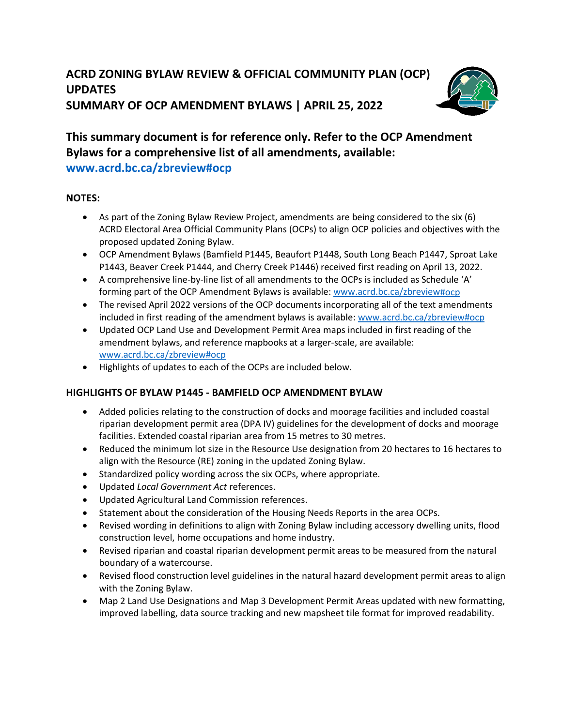

# **This summary document is for reference only. Refer to the OCP Amendment Bylaws for a comprehensive list of all amendments, available:**

**[www.acrd.bc.ca/zbreview#ocp](http://www.acrd.bc.ca/zbreview#ocp)** 

## **NOTES:**

- As part of the Zoning Bylaw Review Project, amendments are being considered to the six (6) ACRD Electoral Area Official Community Plans (OCPs) to align OCP policies and objectives with the proposed updated Zoning Bylaw.
- OCP Amendment Bylaws (Bamfield P1445, Beaufort P1448, South Long Beach P1447, Sproat Lake P1443, Beaver Creek P1444, and Cherry Creek P1446) received first reading on April 13, 2022.
- A comprehensive line-by-line list of all amendments to the OCPs is included as Schedule 'A' forming part of the OCP Amendment Bylaws is available: [www.acrd.bc.ca/zbreview#](http://www.acrd.bc.ca/zbreview)ocp
- The revised April 2022 versions of the OCP documents incorporating all of the text amendments included in first reading of the amendment bylaws is available: [www.acrd.bc.ca/zbreview#ocp](http://www.acrd.bc.ca/zbreview#ocp)
- Updated OCP Land Use and Development Permit Area maps included in first reading of the amendment bylaws, and reference mapbooks at a larger-scale, are available: [www.acrd.bc.ca/zbreview#ocp](http://www.acrd.bc.ca/zbreview#ocp)
- Highlights of updates to each of the OCPs are included below.

## **HIGHLIGHTS OF BYLAW P1445 - BAMFIELD OCP AMENDMENT BYLAW**

- Added policies relating to the construction of docks and moorage facilities and included coastal riparian development permit area (DPA IV) guidelines for the development of docks and moorage facilities. Extended coastal riparian area from 15 metres to 30 metres.
- Reduced the minimum lot size in the Resource Use designation from 20 hectares to 16 hectares to align with the Resource (RE) zoning in the updated Zoning Bylaw.
- Standardized policy wording across the six OCPs, where appropriate.
- Updated *Local Government Act* references.
- Updated Agricultural Land Commission references.
- Statement about the consideration of the Housing Needs Reports in the area OCPs.
- Revised wording in definitions to align with Zoning Bylaw including accessory dwelling units, flood construction level, home occupations and home industry.
- Revised riparian and coastal riparian development permit areas to be measured from the natural boundary of a watercourse.
- Revised flood construction level guidelines in the natural hazard development permit areas to align with the Zoning Bylaw.
- Map 2 Land Use Designations and Map 3 Development Permit Areas updated with new formatting, improved labelling, data source tracking and new mapsheet tile format for improved readability.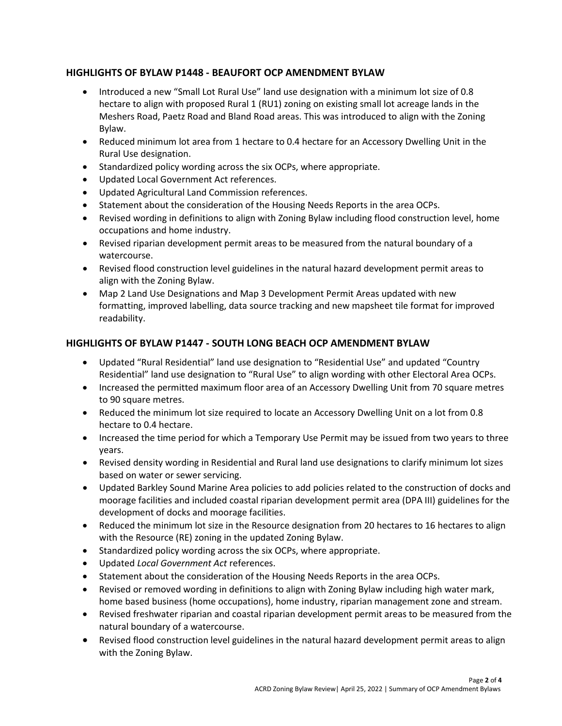### **HIGHLIGHTS OF BYLAW P1448 - BEAUFORT OCP AMENDMENT BYLAW**

- Introduced a new "Small Lot Rural Use" land use designation with a minimum lot size of 0.8 hectare to align with proposed Rural 1 (RU1) zoning on existing small lot acreage lands in the Meshers Road, Paetz Road and Bland Road areas. This was introduced to align with the Zoning Bylaw.
- Reduced minimum lot area from 1 hectare to 0.4 hectare for an Accessory Dwelling Unit in the Rural Use designation.
- Standardized policy wording across the six OCPs, where appropriate.
- Updated Local Government Act references.
- Updated Agricultural Land Commission references.
- Statement about the consideration of the Housing Needs Reports in the area OCPs.
- Revised wording in definitions to align with Zoning Bylaw including flood construction level, home occupations and home industry.
- Revised riparian development permit areas to be measured from the natural boundary of a watercourse.
- Revised flood construction level guidelines in the natural hazard development permit areas to align with the Zoning Bylaw.
- Map 2 Land Use Designations and Map 3 Development Permit Areas updated with new formatting, improved labelling, data source tracking and new mapsheet tile format for improved readability.

#### **HIGHLIGHTS OF BYLAW P1447 - SOUTH LONG BEACH OCP AMENDMENT BYLAW**

- Updated "Rural Residential" land use designation to "Residential Use" and updated "Country Residential" land use designation to "Rural Use" to align wording with other Electoral Area OCPs.
- Increased the permitted maximum floor area of an Accessory Dwelling Unit from 70 square metres to 90 square metres.
- Reduced the minimum lot size required to locate an Accessory Dwelling Unit on a lot from 0.8 hectare to 0.4 hectare.
- Increased the time period for which a Temporary Use Permit may be issued from two years to three years.
- Revised density wording in Residential and Rural land use designations to clarify minimum lot sizes based on water or sewer servicing.
- Updated Barkley Sound Marine Area policies to add policies related to the construction of docks and moorage facilities and included coastal riparian development permit area (DPA III) guidelines for the development of docks and moorage facilities.
- Reduced the minimum lot size in the Resource designation from 20 hectares to 16 hectares to align with the Resource (RE) zoning in the updated Zoning Bylaw.
- Standardized policy wording across the six OCPs, where appropriate.
- Updated *Local Government Act* references.
- Statement about the consideration of the Housing Needs Reports in the area OCPs.
- Revised or removed wording in definitions to align with Zoning Bylaw including high water mark, home based business (home occupations), home industry, riparian management zone and stream.
- Revised freshwater riparian and coastal riparian development permit areas to be measured from the natural boundary of a watercourse.
- Revised flood construction level guidelines in the natural hazard development permit areas to align with the Zoning Bylaw.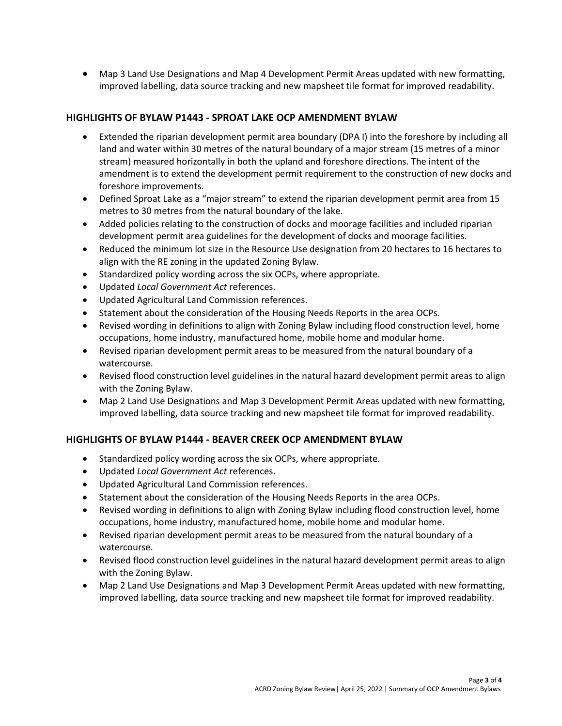• Map 3 Land Use Designations and Map 4 Development Permit Areas updated with new formatting, improved labelling, data source tracking and new mapsheet tile format for improved readability.

#### **HIGHLIGHTS OF BYLAW P1443 - SPROAT LAKE OCP AMENDMENT BYLAW**

- Extended the riparian development permit area boundary (DPA I) into the foreshore by including all land and water within 30 metres of the natural boundary of a major stream (15 metres of a minor stream) measured horizontally in both the upland and foreshore directions. The intent of the amendment is to extend the development permit requirement to the construction of new docks and foreshore improvements.
- Defined Sproat Lake as a "major stream" to extend the riparian development permit area from 15 metres to 30 metres from the natural boundary of the lake.
- Added policies relating to the construction of docks and moorage facilities and included riparian development permit area guidelines for the development of docks and moorage facilities.
- Reduced the minimum lot size in the Resource Use designation from 20 hectares to 16 hectares to align with the RE zoning in the updated Zoning Bylaw.
- Standardized policy wording across the six OCPs, where appropriate.
- Updated *Local Government Act* references.
- Updated Agricultural Land Commission references.
- Statement about the consideration of the Housing Needs Reports in the area OCPs.
- Revised wording in definitions to align with Zoning Bylaw including flood construction level, home occupations, home industry, manufactured home, mobile home and modular home.
- Revised riparian development permit areas to be measured from the natural boundary of a watercourse.
- Revised flood construction level guidelines in the natural hazard development permit areas to align with the Zoning Bylaw.
- Map 2 Land Use Designations and Map 3 Development Permit Areas updated with new formatting, improved labelling, data source tracking and new mapsheet tile format for improved readability.

#### **HIGHLIGHTS OF BYLAW P1444 - BEAVER CREEK OCP AMENDMENT BYLAW**

- Standardized policy wording across the six OCPs, where appropriate.
- Updated *Local Government Act* references.
- Updated Agricultural Land Commission references.
- Statement about the consideration of the Housing Needs Reports in the area OCPs.
- Revised wording in definitions to align with Zoning Bylaw including flood construction level, home occupations, home industry, manufactured home, mobile home and modular home.
- Revised riparian development permit areas to be measured from the natural boundary of a watercourse.
- Revised flood construction level guidelines in the natural hazard development permit areas to align with the Zoning Bylaw.
- Map 2 Land Use Designations and Map 3 Development Permit Areas updated with new formatting, improved labelling, data source tracking and new mapsheet tile format for improved readability.